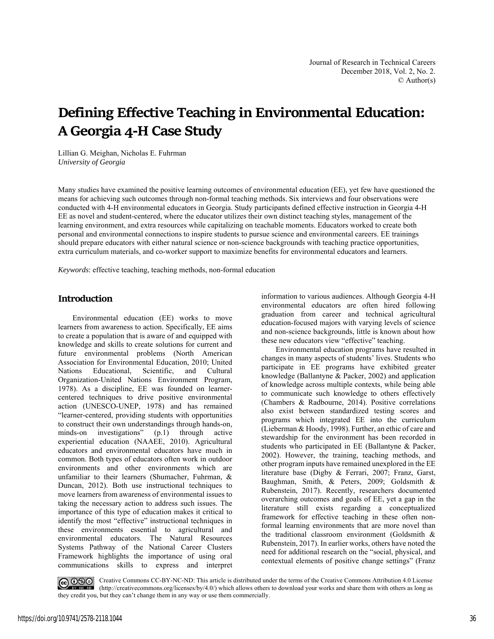# **Defining Effective Teaching in Environmental Education: A Georgia 4‐H Case Study**

Lillian G. Meighan, Nicholas E. Fuhrman *University of Georgia*

Many studies have examined the positive learning outcomes of environmental education (EE), yet few have questioned the means for achieving such outcomes through non-formal teaching methods. Six interviews and four observations were conducted with 4-H environmental educators in Georgia. Study participants defined effective instruction in Georgia 4-H EE as novel and student-centered, where the educator utilizes their own distinct teaching styles, management of the learning environment, and extra resources while capitalizing on teachable moments. Educators worked to create both personal and environmental connections to inspire students to pursue science and environmental careers. EE trainings should prepare educators with either natural science or non-science backgrounds with teaching practice opportunities, extra curriculum materials, and co-worker support to maximize benefits for environmental educators and learners.

*Keywords*: effective teaching, teaching methods, non-formal education

## **Introduction**

Environmental education (EE) works to move learners from awareness to action. Specifically, EE aims to create a population that is aware of and equipped with knowledge and skills to create solutions for current and future environmental problems (North American Association for Environmental Education, 2010; United Nations Educational, Scientific, and Cultural Organization-United Nations Environment Program, 1978). As a discipline, EE was founded on learnercentered techniques to drive positive environmental action (UNESCO-UNEP, 1978) and has remained "learner-centered, providing students with opportunities to construct their own understandings through hands-on, minds-on investigations" (p.1) through active experiential education (NAAEE, 2010). Agricultural educators and environmental educators have much in common. Both types of educators often work in outdoor environments and other environments which are unfamiliar to their learners (Shumacher, Fuhrman, & Duncan, 2012). Both use instructional techniques to move learners from awareness of environmental issues to taking the necessary action to address such issues. The importance of this type of education makes it critical to identify the most "effective" instructional techniques in these environments essential to agricultural and environmental educators. The Natural Resources Systems Pathway of the National Career Clusters Framework highlights the importance of using oral communications skills to express and interpret

information to various audiences. Although Georgia 4-H environmental educators are often hired following graduation from career and technical agricultural education-focused majors with varying levels of science and non-science backgrounds, little is known about how these new educators view "effective" teaching.

Environmental education programs have resulted in changes in many aspects of students' lives. Students who participate in EE programs have exhibited greater knowledge (Ballantyne & Packer, 2002) and application of knowledge across multiple contexts, while being able to communicate such knowledge to others effectively (Chambers & Radbourne, 2014). Positive correlations also exist between standardized testing scores and programs which integrated EE into the curriculum (Lieberman & Hoody, 1998). Further, an ethic of care and stewardship for the environment has been recorded in students who participated in EE (Ballantyne & Packer, 2002). However, the training, teaching methods, and other program inputs have remained unexplored in the EE literature base (Digby & Ferrari, 2007; Franz, Garst, Baughman, Smith, & Peters, 2009; Goldsmith & Rubenstein, 2017). Recently, researchers documented overarching outcomes and goals of EE, yet a gap in the literature still exists regarding a conceptualized framework for effective teaching in these often nonformal learning environments that are more novel than the traditional classroom environment (Goldsmith & Rubenstein, 2017). In earlier works, others have noted the need for additional research on the "social, physical, and contextual elements of positive change settings" (Franz

Creative Commons CC-BY-NC-ND: This article is distributed under the terms of the Creative Commons Attribution 4.0 License (http://creativecommons.org/licenses/by/4.0/) which allows others to download your works and share them with others as long as they credit you, but they can't change them in any way or use them commercially.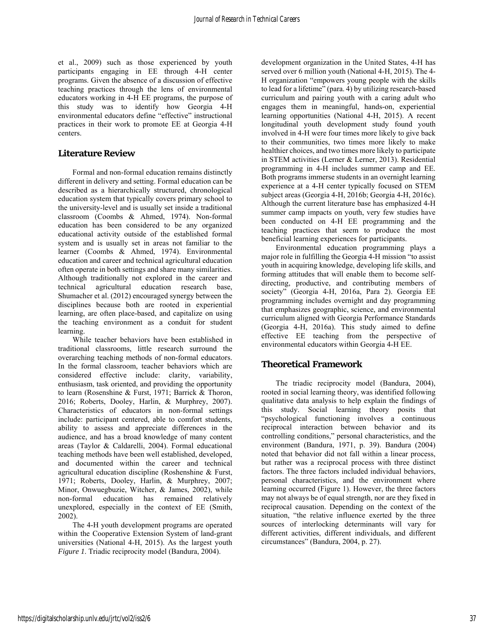et al., 2009) such as those experienced by youth participants engaging in EE through 4-H center programs. Given the absence of a discussion of effective teaching practices through the lens of environmental educators working in 4-H EE programs, the purpose of this study was to identify how Georgia 4-H environmental educators define "effective" instructional practices in their work to promote EE at Georgia 4-H centers.

## **Literature Review**

Formal and non-formal education remains distinctly different in delivery and setting. Formal education can be described as a hierarchically structured, chronological education system that typically covers primary school to the university-level and is usually set inside a traditional classroom (Coombs & Ahmed, 1974). Non-formal education has been considered to be any organized educational activity outside of the established formal system and is usually set in areas not familiar to the learner (Coombs & Ahmed, 1974). Environmental education and career and technical agricultural education often operate in both settings and share many similarities. Although traditionally not explored in the career and technical agricultural education research base, Shumacher et al. (2012) encouraged synergy between the disciplines because both are rooted in experiential learning, are often place-based, and capitalize on using the teaching environment as a conduit for student learning.

While teacher behaviors have been established in traditional classrooms, little research surround the overarching teaching methods of non-formal educators. In the formal classroom, teacher behaviors which are considered effective include: clarity, variability, enthusiasm, task oriented, and providing the opportunity to learn (Rosenshine & Furst, 1971; Barrick & Thoron, 2016; Roberts, Dooley, Harlin, & Murphrey, 2007). Characteristics of educators in non-formal settings include: participant centered, able to comfort students, ability to assess and appreciate differences in the audience, and has a broad knowledge of many content areas (Taylor & Caldarelli, 2004). Formal educational teaching methods have been well established, developed, and documented within the career and technical agricultural education discipline (Roshenshine & Furst, 1971; Roberts, Dooley, Harlin, & Murphrey, 2007; Minor, Onwuegbuzie, Witcher, & James, 2002), while non-formal education has remained relatively unexplored, especially in the context of EE (Smith, 2002).

The 4-H youth development programs are operated within the Cooperative Extension System of land-grant universities (National 4-H, 2015). As the largest youth *Figure 1*. Triadic reciprocity model (Bandura, 2004).

development organization in the United States, 4-H has served over 6 million youth (National 4-H, 2015). The 4- H organization "empowers young people with the skills to lead for a lifetime" (para. 4) by utilizing research-based curriculum and pairing youth with a caring adult who engages them in meaningful, hands-on, experiential learning opportunities (National 4-H, 2015). A recent longitudinal youth development study found youth involved in 4-H were four times more likely to give back to their communities, two times more likely to make healthier choices, and two times more likely to participate in STEM activities (Lerner & Lerner, 2013). Residential programming in 4-H includes summer camp and EE. Both programs immerse students in an overnight learning experience at a 4-H center typically focused on STEM subject areas (Georgia 4-H, 2016b; Georgia 4-H, 2016c). Although the current literature base has emphasized 4-H summer camp impacts on youth, very few studies have been conducted on 4-H EE programming and the teaching practices that seem to produce the most beneficial learning experiences for participants.

Environmental education programming plays a major role in fulfilling the Georgia 4-H mission "to assist youth in acquiring knowledge, developing life skills, and forming attitudes that will enable them to become selfdirecting, productive, and contributing members of society" (Georgia 4-H, 2016a, Para 2). Georgia EE programming includes overnight and day programming that emphasizes geographic, science, and environmental curriculum aligned with Georgia Performance Standards (Georgia 4-H, 2016a). This study aimed to define effective EE teaching from the perspective of environmental educators within Georgia 4-H EE.

# **Theoretical Framework**

The triadic reciprocity model (Bandura, 2004), rooted in social learning theory, was identified following qualitative data analysis to help explain the findings of this study. Social learning theory posits that "psychological functioning involves a continuous reciprocal interaction between behavior and its controlling conditions," personal characteristics, and the environment (Bandura, 1971, p. 39). Bandura (2004) noted that behavior did not fall within a linear process, but rather was a reciprocal process with three distinct factors. The three factors included individual behaviors, personal characteristics, and the environment where learning occurred (Figure 1). However, the three factors may not always be of equal strength, nor are they fixed in reciprocal causation. Depending on the context of the situation, "the relative influence exerted by the three sources of interlocking determinants will vary for different activities, different individuals, and different circumstances" (Bandura, 2004, p. 27).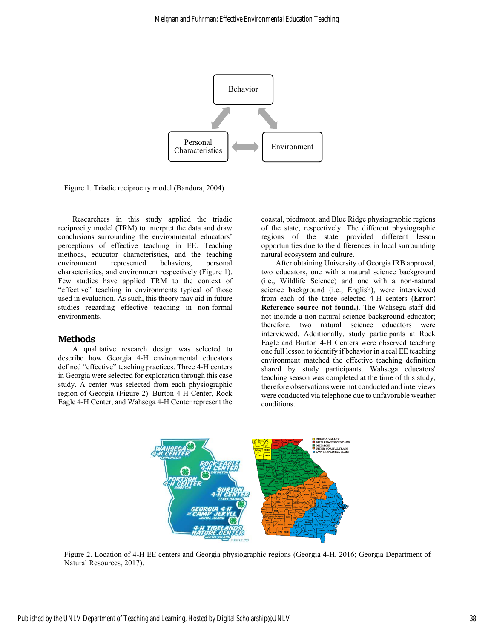

Figure 1. Triadic reciprocity model (Bandura, 2004).

Researchers in this study applied the triadic reciprocity model (TRM) to interpret the data and draw conclusions surrounding the environmental educators' perceptions of effective teaching in EE. Teaching methods, educator characteristics, and the teaching environment represented behaviors, personal characteristics, and environment respectively (Figure 1). Few studies have applied TRM to the context of "effective" teaching in environments typical of those used in evaluation. As such, this theory may aid in future studies regarding effective teaching in non-formal environments.

#### **Methods**

A qualitative research design was selected to describe how Georgia 4-H environmental educators defined "effective" teaching practices. Three 4-H centers in Georgia were selected for exploration through this case study. A center was selected from each physiographic region of Georgia (Figure 2). Burton 4-H Center, Rock Eagle 4-H Center, and Wahsega 4-H Center represent the coastal, piedmont, and Blue Ridge physiographic regions of the state, respectively. The different physiographic regions of the state provided different lesson opportunities due to the differences in local surrounding natural ecosystem and culture.

After obtaining University of Georgia IRB approval, two educators, one with a natural science background (i.e., Wildlife Science) and one with a non-natural science background (i.e., English), were interviewed from each of the three selected 4-H centers (**Error! Reference source not found.**). The Wahsega staff did not include a non-natural science background educator; therefore, two natural science educators were interviewed. Additionally, study participants at Rock Eagle and Burton 4-H Centers were observed teaching one full lesson to identify if behavior in a real EE teaching environment matched the effective teaching definition shared by study participants. Wahsega educators' teaching season was completed at the time of this study, therefore observations were not conducted and interviews were conducted via telephone due to unfavorable weather conditions.



Figure 2. Location of 4-H EE centers and Georgia physiographic regions (Georgia 4-H, 2016; Georgia Department of Natural Resources, 2017).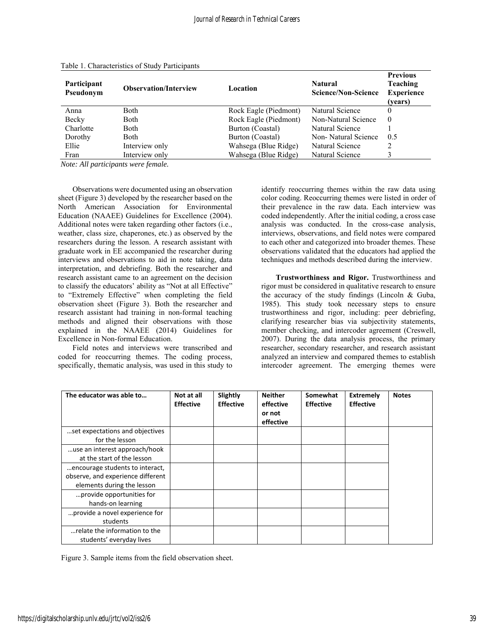| Participant<br>Pseudonym | <b>Observation/Interview</b> | Location              | <b>Natural</b><br><b>Science/Non-Science</b> | <b>Previous</b><br><b>Teaching</b><br><b>Experience</b><br>(vears) |
|--------------------------|------------------------------|-----------------------|----------------------------------------------|--------------------------------------------------------------------|
| Anna                     | <b>Both</b>                  | Rock Eagle (Piedmont) | Natural Science                              | 0                                                                  |
| Becky                    | Both                         | Rock Eagle (Piedmont) | Non-Natural Science                          | $\Omega$                                                           |
| Charlotte                | <b>Both</b>                  | Burton (Coastal)      | Natural Science                              |                                                                    |
| Dorothy                  | <b>Both</b>                  | Burton (Coastal)      | Non-Natural Science                          | 0.5                                                                |
| Ellie                    | Interview only               | Wahsega (Blue Ridge)  | Natural Science                              |                                                                    |
| Fran                     | Interview only               | Wahsega (Blue Ridge)  | Natural Science                              |                                                                    |

| Table 1. Characteristics of Study Participants |
|------------------------------------------------|
|------------------------------------------------|

*Note: All participants were female.* 

Observations were documented using an observation sheet (Figure 3) developed by the researcher based on the North American Association for Environmental Education (NAAEE) Guidelines for Excellence (2004). Additional notes were taken regarding other factors (i.e., weather, class size, chaperones, etc.) as observed by the researchers during the lesson. A research assistant with graduate work in EE accompanied the researcher during interviews and observations to aid in note taking, data interpretation, and debriefing. Both the researcher and research assistant came to an agreement on the decision to classify the educators' ability as "Not at all Effective" to "Extremely Effective" when completing the field observation sheet (Figure 3). Both the researcher and research assistant had training in non-formal teaching methods and aligned their observations with those explained in the NAAEE (2014) Guidelines for Excellence in Non-formal Education.

Field notes and interviews were transcribed and coded for reoccurring themes. The coding process, specifically, thematic analysis, was used in this study to identify reoccurring themes within the raw data using color coding. Reoccurring themes were listed in order of their prevalence in the raw data. Each interview was coded independently. After the initial coding, a cross case analysis was conducted. In the cross-case analysis, interviews, observations, and field notes were compared to each other and categorized into broader themes. These observations validated that the educators had applied the techniques and methods described during the interview.

**Trustworthiness and Rigor.** Trustworthiness and rigor must be considered in qualitative research to ensure the accuracy of the study findings (Lincoln & Guba, 1985). This study took necessary steps to ensure trustworthiness and rigor, including: peer debriefing, clarifying researcher bias via subjectivity statements, member checking, and intercoder agreement (Creswell, 2007). During the data analysis process, the primary researcher, secondary researcher, and research assistant analyzed an interview and compared themes to establish intercoder agreement. The emerging themes were

| The educator was able to          | Not at all<br><b>Effective</b> | Slightly<br><b>Effective</b> | <b>Neither</b><br>effective<br>or not<br>effective | Somewhat<br><b>Effective</b> | <b>Extremely</b><br><b>Effective</b> | <b>Notes</b> |
|-----------------------------------|--------------------------------|------------------------------|----------------------------------------------------|------------------------------|--------------------------------------|--------------|
| set expectations and objectives   |                                |                              |                                                    |                              |                                      |              |
| for the lesson                    |                                |                              |                                                    |                              |                                      |              |
| use an interest approach/hook     |                                |                              |                                                    |                              |                                      |              |
| at the start of the lesson        |                                |                              |                                                    |                              |                                      |              |
| encourage students to interact,   |                                |                              |                                                    |                              |                                      |              |
| observe, and experience different |                                |                              |                                                    |                              |                                      |              |
| elements during the lesson        |                                |                              |                                                    |                              |                                      |              |
| provide opportunities for         |                                |                              |                                                    |                              |                                      |              |
| hands-on learning                 |                                |                              |                                                    |                              |                                      |              |
| provide a novel experience for    |                                |                              |                                                    |                              |                                      |              |
| students                          |                                |                              |                                                    |                              |                                      |              |
| relate the information to the     |                                |                              |                                                    |                              |                                      |              |
| students' everyday lives          |                                |                              |                                                    |                              |                                      |              |

Figure 3. Sample items from the field observation sheet.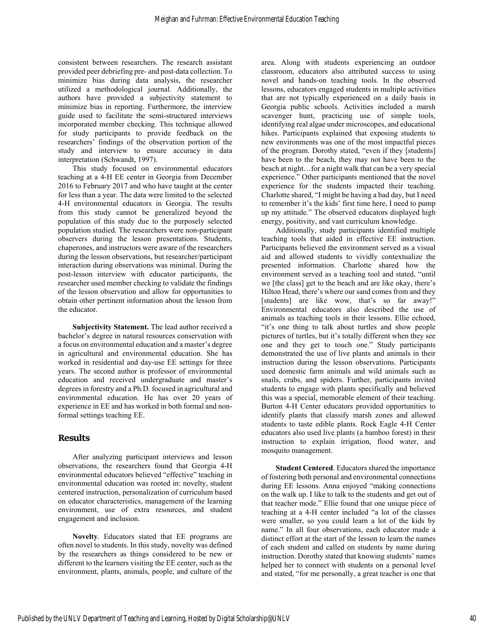consistent between researchers. The research assistant provided peer debriefing pre- and post-data collection. To minimize bias during data analysis, the researcher utilized a methodological journal. Additionally, the authors have provided a subjectivity statement to minimize bias in reporting. Furthermore, the interview guide used to facilitate the semi-structured interviews incorporated member checking. This technique allowed for study participants to provide feedback on the researchers' findings of the observation portion of the study and interview to ensure accuracy in data interpretation (Schwandt, 1997).

This study focused on environmental educators teaching at a 4-H EE center in Georgia from December 2016 to February 2017 and who have taught at the center for less than a year. The data were limited to the selected 4-H environmental educators in Georgia. The results from this study cannot be generalized beyond the population of this study due to the purposely selected population studied. The researchers were non-participant observers during the lesson presentations. Students, chaperones, and instructors were aware of the researchers during the lesson observations, but researcher/participant interaction during observations was minimal. During the post-lesson interview with educator participants, the researcher used member checking to validate the findings of the lesson observation and allow for opportunities to obtain other pertinent information about the lesson from the educator.

**Subjectivity Statement.** The lead author received a bachelor's degree in natural resources conservation with a focus on environmental education and a master's degree in agricultural and environmental education. She has worked in residential and day-use EE settings for three years. The second author is professor of environmental education and received undergraduate and master's degrees in forestry and a Ph.D. focused in agricultural and environmental education. He has over 20 years of experience in EE and has worked in both formal and nonformal settings teaching EE.

### **Results**

After analyzing participant interviews and lesson observations, the researchers found that Georgia 4-H environmental educators believed "effective" teaching in environmental education was rooted in: novelty, student centered instruction, personalization of curriculum based on educator characteristics, management of the learning environment, use of extra resources, and student engagement and inclusion.

**Novelty***.* Educators stated that EE programs are often novel to students. In this study, novelty was defined by the researchers as things considered to be new or different to the learners visiting the EE center, such as the environment, plants, animals, people, and culture of the area. Along with students experiencing an outdoor classroom, educators also attributed success to using novel and hands-on teaching tools. In the observed lessons, educators engaged students in multiple activities that are not typically experienced on a daily basis in Georgia public schools. Activities included a marsh scavenger hunt, practicing use of simple tools, identifying real algae under microscopes, and educational hikes. Participants explained that exposing students to new environments was one of the most impactful pieces of the program. Dorothy stated, "even if they [students] have been to the beach, they may not have been to the beach at night…for a night walk that can be a very special experience." Other participants mentioned that the novel experience for the students impacted their teaching. Charlotte shared, "I might be having a bad day, but I need to remember it's the kids' first time here, I need to pump up my attitude." The observed educators displayed high energy, positivity, and vast curriculum knowledge.

Additionally, study participants identified multiple teaching tools that aided in effective EE instruction. Participants believed the environment served as a visual aid and allowed students to vividly contextualize the presented information. Charlotte shared how the environment served as a teaching tool and stated, "until we [the class] get to the beach and are like okay, there's Hilton Head, there's where our sand comes from and they [students] are like wow, that's so far away!" Environmental educators also described the use of animals as teaching tools in their lessons. Ellie echoed, "it's one thing to talk about turtles and show people pictures of turtles, but it's totally different when they see one and they get to touch one." Study participants demonstrated the use of live plants and animals in their instruction during the lesson observations. Participants used domestic farm animals and wild animals such as snails, crabs, and spiders. Further, participants invited students to engage with plants specifically and believed this was a special, memorable element of their teaching. Burton 4-H Center educators provided opportunities to identify plants that classify marsh zones and allowed students to taste edible plants. Rock Eagle 4-H Center educators also used live plants (a bamboo forest) in their instruction to explain irrigation, flood water, and mosquito management.

**Student Centered***.* Educators shared the importance of fostering both personal and environmental connections during EE lessons. Anna enjoyed "making connections on the walk up. I like to talk to the students and get out of that teacher mode." Ellie found that one unique piece of teaching at a 4-H center included "a lot of the classes were smaller, so you could learn a lot of the kids by name." In all four observations, each educator made a distinct effort at the start of the lesson to learn the names of each student and called on students by name during instruction. Dorothy stated that knowing students' names helped her to connect with students on a personal level and stated, "for me personally, a great teacher is one that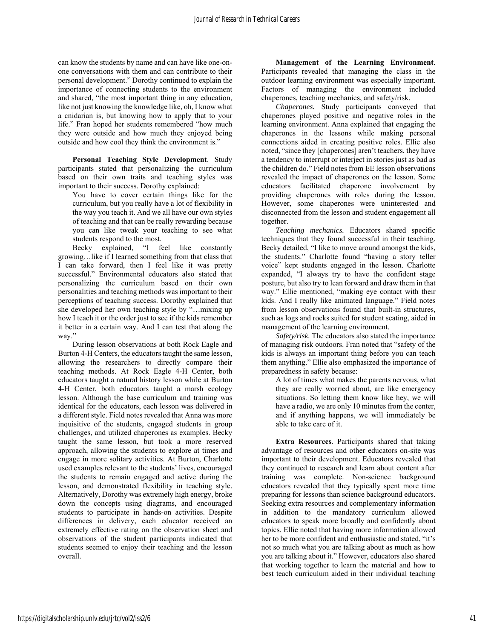can know the students by name and can have like one-onone conversations with them and can contribute to their personal development." Dorothy continued to explain the importance of connecting students to the environment and shared, "the most important thing in any education, like not just knowing the knowledge like, oh, I know what a cnidarian is, but knowing how to apply that to your life." Fran hoped her students remembered "how much they were outside and how much they enjoyed being outside and how cool they think the environment is."

**Personal Teaching Style Development**. Study participants stated that personalizing the curriculum based on their own traits and teaching styles was important to their success. Dorothy explained:

You have to cover certain things like for the curriculum, but you really have a lot of flexibility in the way you teach it. And we all have our own styles of teaching and that can be really rewarding because you can like tweak your teaching to see what students respond to the most.

Becky explained, "I feel like constantly growing…like if I learned something from that class that I can take forward, then I feel like it was pretty successful." Environmental educators also stated that personalizing the curriculum based on their own personalities and teaching methods was important to their perceptions of teaching success. Dorothy explained that she developed her own teaching style by "…mixing up how I teach it or the order just to see if the kids remember it better in a certain way. And I can test that along the way."

During lesson observations at both Rock Eagle and Burton 4-H Centers, the educators taught the same lesson, allowing the researchers to directly compare their teaching methods. At Rock Eagle 4-H Center, both educators taught a natural history lesson while at Burton 4-H Center, both educators taught a marsh ecology lesson. Although the base curriculum and training was identical for the educators, each lesson was delivered in a different style. Field notes revealed that Anna was more inquisitive of the students, engaged students in group challenges, and utilized chaperones as examples. Becky taught the same lesson, but took a more reserved approach, allowing the students to explore at times and engage in more solitary activities. At Burton, Charlotte used examples relevant to the students' lives, encouraged the students to remain engaged and active during the lesson, and demonstrated flexibility in teaching style. Alternatively, Dorothy was extremely high energy, broke down the concepts using diagrams, and encouraged students to participate in hands-on activities. Despite differences in delivery, each educator received an extremely effective rating on the observation sheet and observations of the student participants indicated that students seemed to enjoy their teaching and the lesson overall.

**Management of the Learning Environment**. Participants revealed that managing the class in the outdoor learning environment was especially important. Factors of managing the environment included chaperones, teaching mechanics, and safety/risk.

*Chaperones.* Study participants conveyed that chaperones played positive and negative roles in the learning environment. Anna explained that engaging the chaperones in the lessons while making personal connections aided in creating positive roles. Ellie also noted, "since they [chaperones] aren't teachers, they have a tendency to interrupt or interject in stories just as bad as the children do." Field notes from EE lesson observations revealed the impact of chaperones on the lesson. Some educators facilitated chaperone involvement by providing chaperones with roles during the lesson. However, some chaperones were uninterested and disconnected from the lesson and student engagement all together.

*Teaching mechanics.* Educators shared specific techniques that they found successful in their teaching. Becky detailed, "I like to move around amongst the kids, the students." Charlotte found "having a story teller voice" kept students engaged in the lesson. Charlotte expanded, "I always try to have the confident stage posture, but also try to lean forward and draw them in that way." Ellie mentioned, "making eye contact with their kids. And I really like animated language." Field notes from lesson observations found that built-in structures, such as logs and rocks suited for student seating, aided in management of the learning environment.

*Safety/risk.* The educators also stated the importance of managing risk outdoors. Fran noted that "safety of the kids is always an important thing before you can teach them anything." Ellie also emphasized the importance of preparedness in safety because:

A lot of times what makes the parents nervous, what they are really worried about, are like emergency situations. So letting them know like hey, we will have a radio, we are only 10 minutes from the center, and if anything happens, we will immediately be able to take care of it.

**Extra Resources***.* Participants shared that taking advantage of resources and other educators on-site was important to their development. Educators revealed that they continued to research and learn about content after training was complete. Non-science background educators revealed that they typically spent more time preparing for lessons than science background educators. Seeking extra resources and complementary information in addition to the mandatory curriculum allowed educators to speak more broadly and confidently about topics. Ellie noted that having more information allowed her to be more confident and enthusiastic and stated, "it's not so much what you are talking about as much as how you are talking about it." However, educators also shared that working together to learn the material and how to best teach curriculum aided in their individual teaching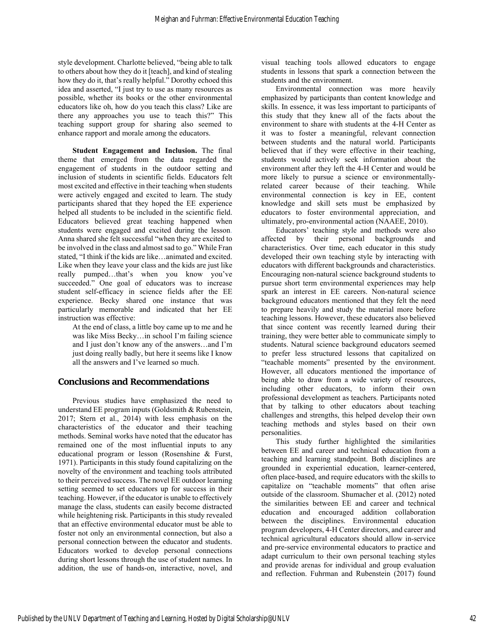style development. Charlotte believed, "being able to talk to others about how they do it [teach], and kind of stealing how they do it, that's really helpful." Dorothy echoed this idea and asserted, "I just try to use as many resources as possible, whether its books or the other environmental educators like oh, how do you teach this class? Like are there any approaches you use to teach this?" This teaching support group for sharing also seemed to enhance rapport and morale among the educators.

**Student Engagement and Inclusion.** The final theme that emerged from the data regarded the engagement of students in the outdoor setting and inclusion of students in scientific fields. Educators felt most excited and effective in their teaching when students were actively engaged and excited to learn. The study participants shared that they hoped the EE experience helped all students to be included in the scientific field. Educators believed great teaching happened when students were engaged and excited during the lesson. Anna shared she felt successful "when they are excited to be involved in the class and almost sad to go." While Fran stated, "I think if the kids are like…animated and excited. Like when they leave your class and the kids are just like really pumped…that's when you know you've succeeded." One goal of educators was to increase student self-efficacy in science fields after the EE experience. Becky shared one instance that was particularly memorable and indicated that her EE instruction was effective:

At the end of class, a little boy came up to me and he was like Miss Becky…in school I'm failing science and I just don't know any of the answers…and I'm just doing really badly, but here it seems like I know all the answers and I've learned so much.

# **Conclusions and Recommendations**

Previous studies have emphasized the need to understand EE program inputs (Goldsmith & Rubenstein, 2017; Stern et al., 2014) with less emphasis on the characteristics of the educator and their teaching methods. Seminal works have noted that the educator has remained one of the most influential inputs to any educational program or lesson (Rosenshine & Furst, 1971). Participants in this study found capitalizing on the novelty of the environment and teaching tools attributed to their perceived success. The novel EE outdoor learning setting seemed to set educators up for success in their teaching. However, if the educator is unable to effectively manage the class, students can easily become distracted while heightening risk. Participants in this study revealed that an effective environmental educator must be able to foster not only an environmental connection, but also a personal connection between the educator and students. Educators worked to develop personal connections during short lessons through the use of student names. In addition, the use of hands-on, interactive, novel, and

visual teaching tools allowed educators to engage students in lessons that spark a connection between the students and the environment.

Environmental connection was more heavily emphasized by participants than content knowledge and skills. In essence, it was less important to participants of this study that they knew all of the facts about the environment to share with students at the 4-H Center as it was to foster a meaningful, relevant connection between students and the natural world. Participants believed that if they were effective in their teaching, students would actively seek information about the environment after they left the 4-H Center and would be more likely to pursue a science or environmentallyrelated career because of their teaching. While environmental connection is key in EE, content knowledge and skill sets must be emphasized by educators to foster environmental appreciation, and ultimately, pro-environmental action (NAAEE, 2010).

Educators' teaching style and methods were also affected by their personal backgrounds and characteristics. Over time, each educator in this study developed their own teaching style by interacting with educators with different backgrounds and characteristics. Encouraging non-natural science background students to pursue short term environmental experiences may help spark an interest in EE careers. Non-natural science background educators mentioned that they felt the need to prepare heavily and study the material more before teaching lessons. However, these educators also believed that since content was recently learned during their training, they were better able to communicate simply to students. Natural science background educators seemed to prefer less structured lessons that capitalized on "teachable moments" presented by the environment. However, all educators mentioned the importance of being able to draw from a wide variety of resources, including other educators, to inform their own professional development as teachers. Participants noted that by talking to other educators about teaching challenges and strengths, this helped develop their own teaching methods and styles based on their own personalities.

This study further highlighted the similarities between EE and career and technical education from a teaching and learning standpoint. Both disciplines are grounded in experiential education, learner-centered, often place-based, and require educators with the skills to capitalize on "teachable moments" that often arise outside of the classroom. Shumacher et al. (2012) noted the similarities between EE and career and technical education and encouraged addition collaboration between the disciplines. Environmental education program developers, 4-H Center directors, and career and technical agricultural educators should allow in-service and pre-service environmental educators to practice and adapt curriculum to their own personal teaching styles and provide arenas for individual and group evaluation and reflection. Fuhrman and Rubenstein (2017) found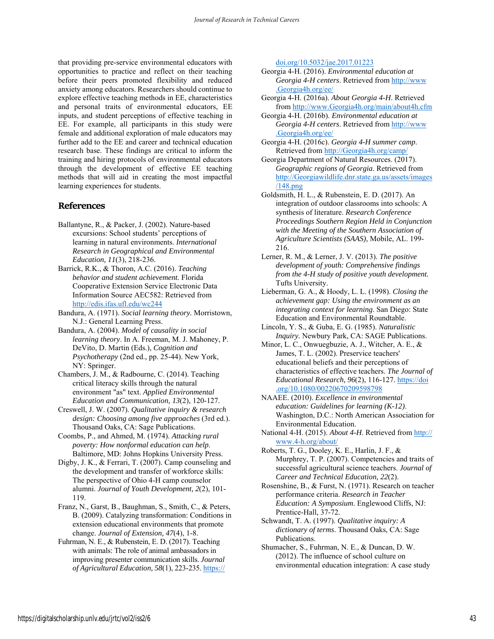that providing pre-service environmental educators with opportunities to practice and reflect on their teaching before their peers promoted flexibility and reduced anxiety among educators. Researchers should continue to explore effective teaching methods in EE, characteristics and personal traits of environmental educators, EE inputs, and student perceptions of effective teaching in EE. For example, all participants in this study were female and additional exploration of male educators may further add to the EE and career and technical education research base. These findings are critical to inform the training and hiring protocols of environmental educators through the development of effective EE teaching methods that will aid in creating the most impactful learning experiences for students.

## **References**

- Ballantyne, R., & Packer, J. (2002). Nature-based excursions: School students' perceptions of learning in natural environments. *International Research in Geographical and Environmental Education, 11*(3), 218-236.
- Barrick, R.K., & Thoron, A.C. (2016). *Teaching behavior and student achievement.* Florida Cooperative Extension Service Electronic Data Information Source AEC582: Retrieved from http://edis.ifas.ufl.edu/wc244

Bandura, A. (1971). *Social learning theory.* Morristown, N.J.: General Learning Press.

- Bandura, A. (2004). *Model of causality in social learning theory*. In A. Freeman, M. J. Mahoney, P. DeVito, D. Martin (Eds.), *Cognition and Psychotherapy* (2nd ed., pp. 25-44). New York, NY: Springer.
- Chambers, J. M., & Radbourne, C. (2014). Teaching critical literacy skills through the natural environment "as" text. *Applied Environmental Education and Communication, 13*(2), 120-127.
- Creswell, J. W. (2007). *Qualitative inquiry & research design: Choosing among five approaches* (3rd ed.). Thousand Oaks, CA: Sage Publications.

Coombs, P., and Ahmed, M. (1974). *Attacking rural poverty: How nonformal education can help*. Baltimore, MD: Johns Hopkins University Press.

Digby, J. K., & Ferrari, T. (2007). Camp counseling and the development and transfer of workforce skills: The perspective of Ohio 4-H camp counselor alumni. *Journal of Youth Development, 2*(2), 101- 119.

Franz, N., Garst, B., Baughman, S., Smith, C., & Peters, B. (2009). Catalyzing transformation: Conditions in extension educational environments that promote change. *Journal of Extension, 47*(4), 1-8.

Fuhrman, N. E., & Rubenstein, E. D. (2017). Teaching with animals: The role of animal ambassadors in improving presenter communication skills. *Journal of Agricultural Education, 58*(1), 223-235. https:// doi.org/10.5032/jae.2017.01223

- Georgia 4-H. (2016). *Environmental education at Georgia 4-H centers*. Retrieved from http://www .Georgia4h.org/ee/
- Georgia 4-H. (2016a). *About Georgia 4-H*. Retrieved from http://www.Georgia4h.org/main/about4h.cfm
- Georgia 4-H. (2016b). *Environmental education at Georgia 4-H centers*. Retrieved from http://www .Georgia4h.org/ee/
- Georgia 4-H. (2016c). *Georgia 4-H summer camp*. Retrieved from http://Georgia4h.org/camp/
- Georgia Department of Natural Resources. (2017). *Geographic regions of Georgia*. Retrieved from http://Georgiawildlife.dnr.state.ga.us/assets/images /148.png
- Goldsmith, H. L., & Rubenstein, E. D. (2017). An integration of outdoor classrooms into schools: A synthesis of literature. *Research Conference Proceedings Southern Region Held in Conjunction with the Meeting of the Southern Association of Agriculture Scientists (SAAS),* Mobile, AL. 199- 216.
- Lerner, R. M., & Lerner, J. V. (2013). *The positive development of youth: Comprehensive findings from the 4-H study of positive youth development.* Tufts University.
- Lieberman, G. A., & Hoody, L. L. (1998). *Closing the achievement gap: Using the environment as an integrating context for learning*. San Diego: State Education and Environmental Roundtable.
- Lincoln, Y. S., & Guba, E. G. (1985). *Naturalistic Inquiry.* Newbury Park, CA: SAGE Publications.
- Minor, L. C., Onwuegbuzie, A. J., Witcher, A. E., & James, T. L. (2002). Preservice teachers' educational beliefs and their perceptions of characteristics of effective teachers. *The Journal of Educational Research, 96*(2), 116-127. https://doi .org/10.1080/00220670209598798
- NAAEE. (2010). *Excellence in environmental education: Guidelines for learning (K-12)*. Washington, D.C.: North American Association for Environmental Education.
- National 4-H. (2015). *About 4-H*. Retrieved from http:// www.4-h.org/about/

Roberts, T. G., Dooley, K. E., Harlin, J. F., & Murphrey, T. P. (2007). Competencies and traits of successful agricultural science teachers. *Journal of Career and Technical Education, 22*(2).

- Rosenshine, B., & Furst, N. (1971). Research on teacher performance criteria. *Research in Teacher Education: A Symposium*. Englewood Cliffs, NJ: Prentice-Hall*,* 37-72.
- Schwandt, T. A. (1997). *Qualitative inquiry: A dictionary of terms*. Thousand Oaks, CA: Sage Publications.
- Shumacher, S., Fuhrman, N. E., & Duncan, D. W. (2012). The influence of school culture on environmental education integration: A case study